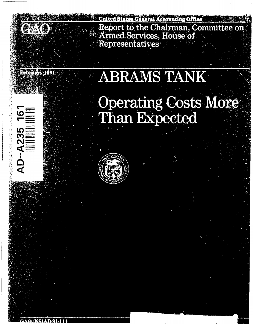Robins (1991

 $\underline{\overset{.}{\Omega}}$ 

ΩŠ,

Ä

।<br>द

 $\mathbb{R}^{\mathbb{Z}_+}$ 

Accounting Office A~~r **a, a** Chaira, 8. **\*\*** - **d,**  $\mathbf{A}$  **hearth** 

# ABRAMS TANK Operating Costs More

Than Expected

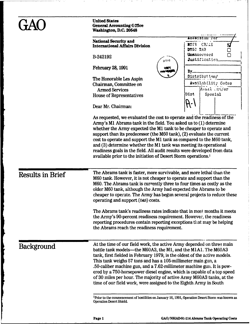|                         | <b>United States</b><br><b>General Accounting Office</b><br>Washington, D.C. 20548                                                                                                                                                                                                                                                                                                                                                                                                                                                                                                                 |                                 |  |  |
|-------------------------|----------------------------------------------------------------------------------------------------------------------------------------------------------------------------------------------------------------------------------------------------------------------------------------------------------------------------------------------------------------------------------------------------------------------------------------------------------------------------------------------------------------------------------------------------------------------------------------------------|---------------------------------|--|--|
|                         | <b>National Security and</b>                                                                                                                                                                                                                                                                                                                                                                                                                                                                                                                                                                       | <b>TOROSSION FOL</b>            |  |  |
|                         | <b>International Affairs Division</b>                                                                                                                                                                                                                                                                                                                                                                                                                                                                                                                                                              | NIIS.<br>CR.AI<br>5<br>DTIC TAB |  |  |
|                         | B-242192<br>DTIC                                                                                                                                                                                                                                                                                                                                                                                                                                                                                                                                                                                   | Unannownced<br>Justification    |  |  |
|                         | February 28, 1991<br>QALY                                                                                                                                                                                                                                                                                                                                                                                                                                                                                                                                                                          |                                 |  |  |
|                         | The Honorable Les Aspin                                                                                                                                                                                                                                                                                                                                                                                                                                                                                                                                                                            | By_<br>Distribution/            |  |  |
|                         | Chairman, Committee on                                                                                                                                                                                                                                                                                                                                                                                                                                                                                                                                                                             | Availability Codes              |  |  |
|                         | <b>Armed Services</b><br><b>House of Representatives</b>                                                                                                                                                                                                                                                                                                                                                                                                                                                                                                                                           | Avail entior<br>Dist<br>Special |  |  |
|                         |                                                                                                                                                                                                                                                                                                                                                                                                                                                                                                                                                                                                    |                                 |  |  |
|                         | Dear Mr. Chairman:                                                                                                                                                                                                                                                                                                                                                                                                                                                                                                                                                                                 |                                 |  |  |
|                         | As requested, we evaluated the cost to operate and the readiness of the<br>Army's M1 Abrams tank in the field. You asked us to (1) determine<br>whether the Army expected the M1 tank to be cheaper to operate and<br>support than its predecessor (the M60 tank), (2) evaluate the current<br>cost to operate and support the M1 tank as compared to the M60 tank,<br>and (3) determine whether the M1 tank was meeting its operational<br>readiness goals in the field. All audit results were developed from data<br>available prior to the initiation of Desert Storm operations. <sup>1</sup> |                                 |  |  |
| <b>Results in Brief</b> | The Abrams tank is faster, more survivable, and more lethal than the<br>M60 tank. However, it is not cheaper to operate and support than the<br>M60. The Abrams tank is currently three to four times as costly as the<br>older M60 tank, although the Army had expected the Abrams to be<br>cheaper to operate. The Army has begun several projects to reduce these<br>operating and support (0&s) costs.                                                                                                                                                                                         |                                 |  |  |
|                         | The Abrams tank's readiness rates indicate that in most months it meets<br>the Army's 90-percent readiness requirement. However, the readiness<br>reporting procedures contain reporting exceptions that may be helping<br>the Abrams reach the readiness requirement.                                                                                                                                                                                                                                                                                                                             |                                 |  |  |
| <b>Background</b>       | At the time of our field work, the active Army depended on three main<br>battle tank models—the M60A3, the M1, and the M1A1. The M60A3<br>tank, first fielded in February 1979, is the oldest of the active models.<br>This tank weighs 57 tons and has a 105-millimeter main gun, a<br>.50-caliber machine gun, and a 7.62-millimeter machine gun. It is pow-<br>ered by a 750-horsepower diesel engine, which is capable of a top speed<br>of 30 miles per hour. The majority of active Army M60A3 tanks, at the<br>time of our field work, were assigned to the Eighth Army in South            |                                 |  |  |
|                         | <sup>1</sup> Prior to the commencement of hostilities on January 16, 1991, Operation Desert Storm was known as<br>Operation Desert Shield.                                                                                                                                                                                                                                                                                                                                                                                                                                                         |                                 |  |  |

I

 $\mathcal{L}$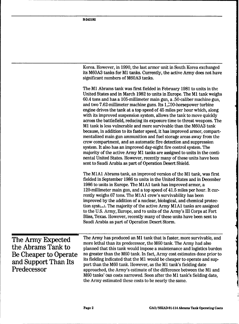|                                                                                                         | Korea. However, in 1990, the last armor unit in South Korea exchanged<br>its M60A3 tanks for M1 tanks. Currently, the active Army does not have<br>significant numbers of M60A3 tanks.                                                                                                                                                                                                                                                                                                                                                                                                                                                                                                                                                                                                                                                                                                                                                                                                                                                                                                                                 |
|---------------------------------------------------------------------------------------------------------|------------------------------------------------------------------------------------------------------------------------------------------------------------------------------------------------------------------------------------------------------------------------------------------------------------------------------------------------------------------------------------------------------------------------------------------------------------------------------------------------------------------------------------------------------------------------------------------------------------------------------------------------------------------------------------------------------------------------------------------------------------------------------------------------------------------------------------------------------------------------------------------------------------------------------------------------------------------------------------------------------------------------------------------------------------------------------------------------------------------------|
|                                                                                                         | The M1 Abrams tank was first fielded in February 1981 to units in the<br>United States and in March 1982 to units in Europe. The M1 tank weighs<br>60.4 tons and has a 105-millimeter main gun, a .50-caliber machine gun,<br>and two 7.62-millimeter machine guns. Its 1,500-horsepower turbine<br>engine drives the tank at a top speed of 45 miles per hour which, along<br>with its improved suspension system, allows the tank to move quickly<br>across the battlefield, reducing its exposure time to threat weapons. The<br>M1 tank is less vulnerable and more survivable than the M60A3 tank<br>because, in addition to its faster speed, it has improved armor, compart-<br>mentalized main gun ammunition and fuel storage areas away from the<br>crew compartment, and an automatic fire detection and suppression<br>system. It also has an improved day-night fire control system. The<br>majority of the active Army M1 tanks are assigned to units in the conti-<br>nental United States. However, recently many of these units have been<br>sent to Saudi Arabia as part of Operation Desert Shield. |
|                                                                                                         | The M1A1 Abrams tank, an improved version of the M1 tank, was first<br>fielded in September 1986 to units in the United States and in December<br>1986 to units in Europe. The M1A1 tank has improved armor, a<br>120-millimeter main gun, and a top speed of 41.5 miles per hour. It cur-<br>rently weighs 67 tons. The M1A1 crew's survivability has been<br>improved by the addition of a nuclear, biological, and chemical protec-<br>tion system. The majority of the active Army M1A1 tanks are assigned<br>to the U.S. Army, Europe, and to units of the Army's III Corps at Fort<br>Bliss, Texas. However, recently many of these units have been sent to<br>Saudi Arabia as part of Operation Desert Storm.                                                                                                                                                                                                                                                                                                                                                                                                   |
| The Army Expected<br>the Abrams Tank to<br>Be Cheaper to Operate<br>and Support Than Its<br>Predecessor | The Army has produced an M1 tank that is faster, more survivable, and<br>more lethal than its predecessor, the M60 tank. The Army had also<br>planned that this tank would impose a maintenance and logistics burden<br>no greater than the M60 tank. In fact, Army cost estimates done prior to<br>its fielding indicated that the M1 would be cheaper to operate and sup-<br>port than the M60 tank. However, as the M1 tank's fielding date<br>approached, the Army's estimate of the difference between the M1 and<br>M60 tanks' o&s costs narrowed. Soon after the M1 tank's fielding date,<br>the Army estimated these costs to be nearly the same.                                                                                                                                                                                                                                                                                                                                                                                                                                                              |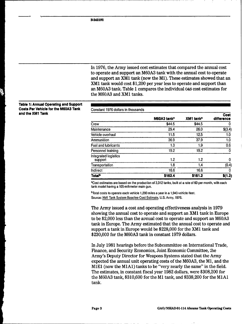In 1976, the Army issued cost estimates that compared the annual cost to operate and support an M60A3 tank with the annual cost to operate and support an XM1 tank (now the M1). These estimates showed that an XM1 tank would cost \$1,200 per year less to operate and support than an M60A3 tank. Table 1 compares the individual o&s cost estimates for the M60A3 and XM1 tanks.

### **Table 1: Annual Operating and Support Costs Per Vehicle for the M60A3 Tank Constant 1976 dollars in thousands** and the **XM1** Tank

|                                 | M60A3 tank <sup>a</sup> | XM1 tank <sup>a</sup> | Cost<br>difference |
|---------------------------------|-------------------------|-----------------------|--------------------|
| Crew                            | \$44.5                  | \$44.5                | 0                  |
| Maintenance                     | 29.4                    | 26.0                  | \$(3.4)            |
| Vehicle overhaul                | 11.5                    | 12.5                  | 1.0                |
| Ammunition                      | 36.9                    | 37,9                  | 1.0                |
| Fuel and lubricants             | 1.3                     | 1.9                   | 0,6                |
| Personnel training              | 19.2                    | 19.2                  | 0                  |
| Integrated logistics<br>support | 1.2                     | 1.2                   | 0                  |
| Transportation                  | 1.8                     | 1.4                   | (0.4)              |
| Indirect                        | 16.6                    | 16.6                  | 0                  |
| <b>Total</b> <sup>b</sup>       | \$162.4                 | \$161.2               | \$(1.2)            |

aCost estimates are based on the production of **3,312** tanks, built at a rate of **60** per month, with each tank model having a 105-millimeter main gun.

bTotal costs to operate each vehicle 1,200 miles a year in a 1,940-vehicle fleet. Source: XM1 Tank System Baseline Cost Estimate, **U.S.** Army, **1976.**

The Army issued a cost and operating effectiveness analysis in 1979 showing the annual cost to operate and support an XM1 tank in Europe to be \$2,000 less than the annual cost to operate and support an M60A3 tank in Europe. The Army estimated that the annual cost to operate and support a tank in Europe would be \$228,000 for the XM1 tank and \$230,000 for the M60A3 tank in constant 1979 dollars.

In July 1981 hearings before the Subcommittee on International Trade, Finance, and Security Economics, Joint Economic Committee, the Army's Deputy Director for Weapons Systems stated that the Army expected the annual unit operating costs of the M60A3, the Ml, and the MIE1 (now the MIAl) tanks to be "very nearly the same" in the field. The estimates, in constant fiscal year 1982 dollars, were \$308,200 for the **M6OA3** tank, \$310,600 for the M1 tank, and \$338,200 for the M1Al tank.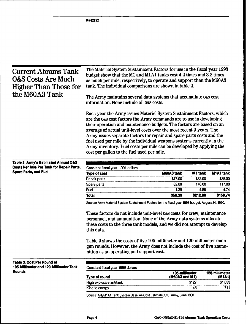$\ddot{\phantom{a}}$ 

| Current Abrams Tank<br><b>O&amp;S Costs Are Much</b><br>Higher Than Those for<br>the M60A3 Tank | The Material System Sustainment Factors for use in the fiscal year 1993<br>budget show that the M1 and M1A1 tanks cost 4.2 times and 3.2 times<br>as much per mile, respectively, to operate and support than the M60A3<br>tank. The individual comparisons are shown in table 2.<br>The Army maintains several data systems that accumulate oss cost<br>information. None include all oss costs.<br>Each year the Army issues Materiel System Sustainment Factors, which<br>are the oss cost factors the Army commands are to use in developing<br>their operation and maintenance budgets. The factors are based on an<br>average of actual unit-level costs over the most recent 3 years. The<br>Army issues separate factors for repair and spare parts costs and the<br>fuel used per mile by the individual weapons systems currently in the<br>Army inventory. Fuel costs per mile can be developed by applying the<br>cost per gallon to the fuel used per mile. |                                                                                                                                                                                                                                                                                                                                                                                                                                                                                  |  |  |
|-------------------------------------------------------------------------------------------------|--------------------------------------------------------------------------------------------------------------------------------------------------------------------------------------------------------------------------------------------------------------------------------------------------------------------------------------------------------------------------------------------------------------------------------------------------------------------------------------------------------------------------------------------------------------------------------------------------------------------------------------------------------------------------------------------------------------------------------------------------------------------------------------------------------------------------------------------------------------------------------------------------------------------------------------------------------------------------|----------------------------------------------------------------------------------------------------------------------------------------------------------------------------------------------------------------------------------------------------------------------------------------------------------------------------------------------------------------------------------------------------------------------------------------------------------------------------------|--|--|
| Table 2: Army's Estimated Annual O&S                                                            |                                                                                                                                                                                                                                                                                                                                                                                                                                                                                                                                                                                                                                                                                                                                                                                                                                                                                                                                                                          |                                                                                                                                                                                                                                                                                                                                                                                                                                                                                  |  |  |
| <b>Costs Per Mile Per Tank for Repair Parts,</b>                                                | Constant fiscal year 1991 dollars                                                                                                                                                                                                                                                                                                                                                                                                                                                                                                                                                                                                                                                                                                                                                                                                                                                                                                                                        |                                                                                                                                                                                                                                                                                                                                                                                                                                                                                  |  |  |
| <b>Spare Parts, and Fuel</b>                                                                    | <b>Type of cost</b>                                                                                                                                                                                                                                                                                                                                                                                                                                                                                                                                                                                                                                                                                                                                                                                                                                                                                                                                                      | M60A3 tank<br>M1 tank<br><b>M1A1 tank</b>                                                                                                                                                                                                                                                                                                                                                                                                                                        |  |  |
|                                                                                                 | Repair parts                                                                                                                                                                                                                                                                                                                                                                                                                                                                                                                                                                                                                                                                                                                                                                                                                                                                                                                                                             | \$17.00<br>\$32.00<br>\$38.00                                                                                                                                                                                                                                                                                                                                                                                                                                                    |  |  |
|                                                                                                 | Spare parts                                                                                                                                                                                                                                                                                                                                                                                                                                                                                                                                                                                                                                                                                                                                                                                                                                                                                                                                                              | 117.00<br>32.00<br>176.00                                                                                                                                                                                                                                                                                                                                                                                                                                                        |  |  |
|                                                                                                 | Fuel                                                                                                                                                                                                                                                                                                                                                                                                                                                                                                                                                                                                                                                                                                                                                                                                                                                                                                                                                                     | 4.74<br>1.39<br>4.88                                                                                                                                                                                                                                                                                                                                                                                                                                                             |  |  |
|                                                                                                 |                                                                                                                                                                                                                                                                                                                                                                                                                                                                                                                                                                                                                                                                                                                                                                                                                                                                                                                                                                          |                                                                                                                                                                                                                                                                                                                                                                                                                                                                                  |  |  |
|                                                                                                 | <b>Total</b>                                                                                                                                                                                                                                                                                                                                                                                                                                                                                                                                                                                                                                                                                                                                                                                                                                                                                                                                                             | \$159.74<br>\$50.39<br>\$212.88                                                                                                                                                                                                                                                                                                                                                                                                                                                  |  |  |
|                                                                                                 | this data.<br>nition as an operating and support cost.                                                                                                                                                                                                                                                                                                                                                                                                                                                                                                                                                                                                                                                                                                                                                                                                                                                                                                                   | Source: Army Materiel System Sustainment Factors for the fiscal year 1993 budget, August 24, 1990.<br>These factors do not include unit-level oss costs for crew, maintenance<br>personnel, and ammunition. None of the Army data systems allocate<br>these costs to the three tank models, and we did not attempt to develop<br>Table 3 shows the costs of live 105-millimeter and 120-millimeter main<br>gun rounds. However, the Army does not include the cost of live ammu- |  |  |
|                                                                                                 |                                                                                                                                                                                                                                                                                                                                                                                                                                                                                                                                                                                                                                                                                                                                                                                                                                                                                                                                                                          |                                                                                                                                                                                                                                                                                                                                                                                                                                                                                  |  |  |
| <b>Table 3: Cost Per Round of</b><br>105-Millimeter and 120-Millimeter Tank                     |                                                                                                                                                                                                                                                                                                                                                                                                                                                                                                                                                                                                                                                                                                                                                                                                                                                                                                                                                                          |                                                                                                                                                                                                                                                                                                                                                                                                                                                                                  |  |  |
| <b>Rounds</b>                                                                                   | Constant fiscal year 1989 dollars<br><b>Type of round</b>                                                                                                                                                                                                                                                                                                                                                                                                                                                                                                                                                                                                                                                                                                                                                                                                                                                                                                                | 105-millimeter<br>120-millimeter<br>(M60A3 and M1)<br>(M1A1)                                                                                                                                                                                                                                                                                                                                                                                                                     |  |  |
|                                                                                                 | High explosive antitank<br>Kinetic energy                                                                                                                                                                                                                                                                                                                                                                                                                                                                                                                                                                                                                                                                                                                                                                                                                                                                                                                                | \$127<br>\$1,033<br>711<br>148                                                                                                                                                                                                                                                                                                                                                                                                                                                   |  |  |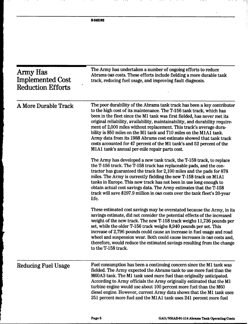**B-242192**

 $\cdots$ 

 $\sim$   $\sim$   $\star$ 

 $\overline{\phantom{a}}$ 

 $\sim$ 

. .

 $\sim$  100  $\sim$ 

 $\cdots$  $\mathcal{L}_{\mathcal{A}}$   $\mathcal{F}_{\mathbf{a},\mathbf{b}}$ 

 $\frac{1}{2}$ 

 $\cdots$ 

 $\cdots$ 

| Army Has<br><b>Implemented Cost</b><br><b>Reduction Efforts</b> | The Army has undertaken a number of ongoing efforts to reduce<br>Abrams oss costs. These efforts include fielding a more durable tank<br>track, reducing fuel usage, and improving fault diagnosis.                                                                                                                                                                                                                                                                                                                                                                                                                                                        |
|-----------------------------------------------------------------|------------------------------------------------------------------------------------------------------------------------------------------------------------------------------------------------------------------------------------------------------------------------------------------------------------------------------------------------------------------------------------------------------------------------------------------------------------------------------------------------------------------------------------------------------------------------------------------------------------------------------------------------------------|
| <b>A More Durable Track</b>                                     | The poor durability of the Abrams tank track has been a key contributor<br>to the high cost of its maintenance. The T-156 tank track, which has<br>been in the fleet since the M1 tank was first fielded, has never met its<br>original reliability, availability, maintainability, and durability require-<br>ment of 2,000 miles without replacement. This track's average dura-<br>bility is 850 miles on the M1 tank and 710 miles on the M1A1 tank.<br>Army data from its 1988 Abrams cost estimate showed that tank track<br>costs accounted for 47 percent of the M1 tank's and 52 percent of the<br>M1A1 tank's annual per-mile repair parts cost. |
|                                                                 | The Army has developed a new tank track, the T-158 track, to replace<br>the T-156 track. The T-158 track has replaceable pads, and the con-<br>tractor has guaranteed the track for 2,100 miles and the pads for 878<br>miles. The Army is currently fielding the new T-158 track on M1A1<br>tanks in Europe. This new track has not been in use long enough to<br>obtain actual cost savings data. The Army estimates that the T-158<br>track will save \$297.9 million in oas costs over the tank fleet's 20-year<br>life.                                                                                                                               |
|                                                                 | These estimated cost savings may be overstated because the Army, in its<br>savings estimate, did not consider the potential effects of the increased<br>weight of the new track. The new T-158 track weighs 11,736 pounds per<br>set, while the older T-156 track weighs 8,940 pounds per set. This<br>increase of 2,796 pounds could cause an increase in fuel usage and road<br>wheel and suspension wear. Both could cause increases in oas costs and,<br>therefore, would reduce the estimated savings resulting from the change<br>to the T-158 track.                                                                                                |
| <b>Reducing Fuel Usage</b>                                      | Fuel consumption has been a continuing concern since the M1 tank was<br>fielded. The Army expected the Abrams tank to use more fuel than the<br>M60A3 tank. The M1 tank used more fuel than originally anticipated.<br>According to Army officials the Army originally estimated that the M1<br>turbine engine would use about 100 percent more fuel than the M60<br>diesel engine. However, current Army data shows that the M1 tank uses<br>251 percent more fuel and the M1A1 tank uses 241 percent more fuel                                                                                                                                           |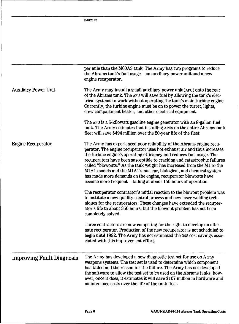|                                  | per mile than the M60A3 tank. The Army has two programs to reduce<br>the Abrams tank's fuel usage—an auxiliary power unit and a new<br>engine recuperator.                                                                                                                                                                                                                                                                                                                                                                                                                               |
|----------------------------------|------------------------------------------------------------------------------------------------------------------------------------------------------------------------------------------------------------------------------------------------------------------------------------------------------------------------------------------------------------------------------------------------------------------------------------------------------------------------------------------------------------------------------------------------------------------------------------------|
| <b>Auxiliary Power Unit</b>      | The Army may install a small auxiliary power unit (APU) onto the rear<br>of the Abrams tank. The APU will save fuel by allowing the tank's elec-<br>trical systems to work without operating the tank's main turbine engine.<br>Currently, the turbine engine must be on to power the turret, lights,<br>crew compartment heater, and other electrical equipment.                                                                                                                                                                                                                        |
|                                  | The APU is a 5-kilowatt gasoline engine generator with an 8-gallon fuel<br>tank. The Army estimates that installing APUs on the entire Abrams tank<br>fleet will save \$494 million over the 20-year life of the fleet.                                                                                                                                                                                                                                                                                                                                                                  |
| <b>Engine Recuperator</b>        | The Army has experienced poor reliability of the Abrams engine recu-<br>perator. The engine recuperator uses hot exhaust air and thus increases<br>the turbine engine's operating efficiency and reduces fuel usage. The<br>recuperators have been susceptible to cracking and catastrophic failures<br>called "blowouts." As the tank weight has increased from the M1 to the<br>M1A1 models and the M1A1's nuclear, biological, and chemical system<br>has made more demands on the engine, recuperator blowouts have<br>become more frequent—failing at about 150 hours of operation. |
|                                  | The recuperator contractor's initial reaction to the blowout problem was<br>to institute a new quality control process and new laser welding tech-<br>niques for the recuperators. These changes have extended the recuper-<br>ator's life to about 350 hours, but the blowout problem has not been<br>completely solved.                                                                                                                                                                                                                                                                |
|                                  | Three contractors are now competing for the right to develop an alter-<br>nate recuperator. Production of the new recuperator is not scheduled to<br>begin until 1992. The Army has not estimated the oas cost savings asso-<br>ciated with this improvement effort.                                                                                                                                                                                                                                                                                                                     |
| <b>Improving Fault Diagnosis</b> | The Army has developed a new diagnostic test set for use on Army<br>weapons systems. The test set is used to determine which component<br>has failed and the reason for the failure. The Army has not developed<br>the software to allow the test set to be used on the Abrams tanks; how-<br>ever, once it does, it estimates it will save \$107 million in hardware and<br>maintenance costs over the life of the tank fleet.                                                                                                                                                          |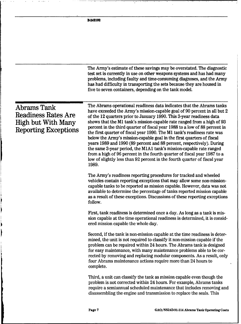|                                                                                                       | The Army's estimate of these savings may be overstated. The diagnostic<br>test set is currently in use on other weapons systems and has had many<br>problems, including faulty and time-consuming diagnoses, and the Army<br>has had difficulty in transporting the sets because they are housed in<br>five to seven containers, depending on the tank model.                                                                                                                                                                                                                                                                                                                                                                                                                                                                                           |
|-------------------------------------------------------------------------------------------------------|---------------------------------------------------------------------------------------------------------------------------------------------------------------------------------------------------------------------------------------------------------------------------------------------------------------------------------------------------------------------------------------------------------------------------------------------------------------------------------------------------------------------------------------------------------------------------------------------------------------------------------------------------------------------------------------------------------------------------------------------------------------------------------------------------------------------------------------------------------|
| <b>Abrams Tank</b><br><b>Readiness Rates Are</b><br>High but With Many<br><b>Reporting Exceptions</b> | The Abrams operational readiness data indicates that the Abrams tanks<br>have exceeded the Army's mission-capable goal of 90 percent in all but 2<br>of the 12 quarters prior to January 1990. This 3-year readiness data<br>shows that the M1 tank's mission-capable rate ranged from a high of 93<br>percent in the third quarter of fiscal year 1988 to a low of 88 percent in<br>the first quarter of fiscal year 1990. The M1 tank's readiness rate was<br>below the Army's mission-capable goal in the first quarters of fiscal<br>years 1989 and 1990 (89 percent and 88 percent, respectively). During<br>the same 3-year period, the M1A1 tank's mission-capable rate ranged<br>from a high of 96 percent in the fourth quarter of fiscal year 1987 to a<br>low of slightly less than 92 percent in the fourth quarter of fiscal year<br>1989. |
|                                                                                                       | The Army's readiness reporting procedures for tracked and wheeled<br>vehicles contain reporting exceptions that may allow some non-mission-<br>capable tanks to be reported as mission capable. However, data was not<br>available to determine the percentage of tanks reported mission capable<br>as a result of these exceptions. Discussions of these reporting exceptions<br>follow.                                                                                                                                                                                                                                                                                                                                                                                                                                                               |
|                                                                                                       | First, tank readiness is determined once a day. As long as a tank is mis-<br>sion capable at the time operational readiness is determined, it is consid-<br>ered mission capable the whole day.                                                                                                                                                                                                                                                                                                                                                                                                                                                                                                                                                                                                                                                         |
|                                                                                                       | Second, if the tank is non-mission capable at the time readiness is deter-<br>mined, the unit is not required to classify it non-mission capable if the<br>problem can be repaired within 24 hours. The Abrams tank is designed<br>for easy maintenance, with many maintenance problems able to be cor-<br>rected by removing and replacing modular components. As a result, only<br>four Abrams maintenance actions require more than 24 hours to<br>complete.                                                                                                                                                                                                                                                                                                                                                                                         |
|                                                                                                       | Third, a unit can classify the tank as mission capable even though the<br>problem is not corrected within 24 hours. For example, Abrams tanks<br>require a semiannual scheduled maintenance that includes removing and<br>disassembling the engine and transmission to replace the seals. This                                                                                                                                                                                                                                                                                                                                                                                                                                                                                                                                                          |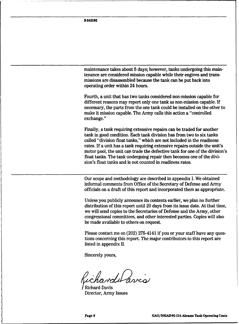maintenance takes about **5** days; however, tanks undergoing this maintenance are considered mission capable while their engines and transmissions are disassembled because the tank can be put back into operating order within 24 hours.

Fourth, a unit that has two tanks considered non-mission capable for different reasons may report only one tank as non-mission capable. If necessary, the parts from the one tank could be installed on the other to make it mission capable. The Army calls this action a **"controlled** exchange."

Finally, a tank requiring extensive repairs can be traded for another tank in good condition. Each tank division has from two to six tanks called "division float tanks," which are not included in the readiness rates. **If** a unit has a tank requiring extensive repairs outside the unit's motor pool, the unit **can** trade the defective tank for one of the division's float tanks. The tank undergoing repair then becomes one of the division's float tanks and is not counted in readiness rates.

Our scope and methodology are described in appendix I. We obtained informal comments from Office of the Secretary of Defense and Army officials on a draft of this report and incorporated them as appropriate.

Unless you publicly announce its contents earlier, we plan no further distribution of this report until 20 days from its issue date. At that time, we will send copies to the Secretaries of Defense and the Army, other congressional committees, and other interested parties. Copies will also be made available to others on request.

Please contact me on (202) 275-4141 if you or your staff have any questions concerning this report. The major contributors to this report are listed in appendix **II.**

Sincerely yours,

hardenovia

**Richard Davis** Director, Army Issues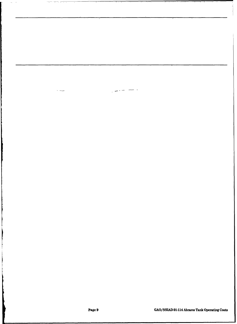| $\sim$ $\sigma$ $^{-1}$ | a single company of the company of the company of the company of the company of the company of the company of |   | <u>та с</u><br>ా                                                                                                                                                                                                               | $\overline{\phantom{a}}$ | $\overline{\phantom{a}}$ |  |
|-------------------------|---------------------------------------------------------------------------------------------------------------|---|--------------------------------------------------------------------------------------------------------------------------------------------------------------------------------------------------------------------------------|--------------------------|--------------------------|--|
|                         |                                                                                                               |   |                                                                                                                                                                                                                                |                          |                          |  |
|                         |                                                                                                               |   |                                                                                                                                                                                                                                |                          |                          |  |
|                         |                                                                                                               |   |                                                                                                                                                                                                                                |                          |                          |  |
|                         | ÷                                                                                                             | ₹ |                                                                                                                                                                                                                                |                          | $\overline{\phantom{a}}$ |  |
|                         |                                                                                                               |   |                                                                                                                                                                                                                                |                          |                          |  |
|                         |                                                                                                               |   |                                                                                                                                                                                                                                |                          |                          |  |
|                         |                                                                                                               |   |                                                                                                                                                                                                                                |                          |                          |  |
|                         |                                                                                                               |   |                                                                                                                                                                                                                                |                          |                          |  |
|                         |                                                                                                               |   |                                                                                                                                                                                                                                |                          |                          |  |
|                         |                                                                                                               |   |                                                                                                                                                                                                                                |                          |                          |  |
|                         |                                                                                                               |   |                                                                                                                                                                                                                                |                          |                          |  |
|                         |                                                                                                               |   |                                                                                                                                                                                                                                |                          |                          |  |
|                         |                                                                                                               |   |                                                                                                                                                                                                                                |                          |                          |  |
|                         |                                                                                                               |   |                                                                                                                                                                                                                                |                          |                          |  |
|                         |                                                                                                               |   |                                                                                                                                                                                                                                |                          |                          |  |
|                         |                                                                                                               |   |                                                                                                                                                                                                                                |                          |                          |  |
|                         |                                                                                                               |   |                                                                                                                                                                                                                                |                          |                          |  |
|                         |                                                                                                               |   |                                                                                                                                                                                                                                |                          |                          |  |
|                         |                                                                                                               |   |                                                                                                                                                                                                                                |                          |                          |  |
|                         |                                                                                                               |   |                                                                                                                                                                                                                                |                          |                          |  |
|                         |                                                                                                               |   |                                                                                                                                                                                                                                |                          |                          |  |
|                         |                                                                                                               |   |                                                                                                                                                                                                                                |                          |                          |  |
|                         |                                                                                                               |   |                                                                                                                                                                                                                                |                          |                          |  |
|                         | $\sigma$ , we<br>can be $\sigma$                                                                              |   | a language of the content of the content of the second state of the second state of the second state of the second state of the second state of the second state of the second state of the second state of the second state i |                          |                          |  |
|                         |                                                                                                               |   |                                                                                                                                                                                                                                |                          |                          |  |
|                         |                                                                                                               |   |                                                                                                                                                                                                                                |                          |                          |  |
|                         |                                                                                                               |   |                                                                                                                                                                                                                                |                          |                          |  |
|                         |                                                                                                               |   |                                                                                                                                                                                                                                |                          |                          |  |
|                         |                                                                                                               |   |                                                                                                                                                                                                                                |                          |                          |  |
|                         |                                                                                                               |   |                                                                                                                                                                                                                                |                          |                          |  |
|                         |                                                                                                               |   |                                                                                                                                                                                                                                |                          |                          |  |
|                         |                                                                                                               |   |                                                                                                                                                                                                                                |                          |                          |  |
|                         |                                                                                                               |   |                                                                                                                                                                                                                                |                          |                          |  |
|                         |                                                                                                               |   |                                                                                                                                                                                                                                |                          |                          |  |
|                         |                                                                                                               |   |                                                                                                                                                                                                                                |                          |                          |  |
|                         |                                                                                                               |   |                                                                                                                                                                                                                                |                          |                          |  |
|                         |                                                                                                               |   |                                                                                                                                                                                                                                |                          |                          |  |
|                         |                                                                                                               |   |                                                                                                                                                                                                                                |                          |                          |  |
|                         |                                                                                                               |   |                                                                                                                                                                                                                                |                          |                          |  |
|                         |                                                                                                               |   |                                                                                                                                                                                                                                |                          |                          |  |
|                         |                                                                                                               |   |                                                                                                                                                                                                                                |                          |                          |  |
|                         |                                                                                                               |   |                                                                                                                                                                                                                                |                          |                          |  |
|                         |                                                                                                               |   |                                                                                                                                                                                                                                |                          |                          |  |
|                         |                                                                                                               |   |                                                                                                                                                                                                                                |                          |                          |  |
|                         |                                                                                                               |   |                                                                                                                                                                                                                                |                          |                          |  |
|                         |                                                                                                               |   |                                                                                                                                                                                                                                |                          |                          |  |
|                         |                                                                                                               |   |                                                                                                                                                                                                                                |                          |                          |  |
|                         |                                                                                                               |   |                                                                                                                                                                                                                                |                          |                          |  |
|                         |                                                                                                               |   |                                                                                                                                                                                                                                |                          |                          |  |
|                         |                                                                                                               |   |                                                                                                                                                                                                                                |                          |                          |  |
|                         |                                                                                                               |   |                                                                                                                                                                                                                                |                          |                          |  |
|                         |                                                                                                               |   |                                                                                                                                                                                                                                |                          |                          |  |
|                         |                                                                                                               |   |                                                                                                                                                                                                                                |                          |                          |  |
|                         |                                                                                                               |   |                                                                                                                                                                                                                                |                          |                          |  |
|                         |                                                                                                               |   |                                                                                                                                                                                                                                |                          |                          |  |
|                         |                                                                                                               |   |                                                                                                                                                                                                                                |                          |                          |  |
|                         |                                                                                                               |   |                                                                                                                                                                                                                                |                          |                          |  |
|                         |                                                                                                               |   |                                                                                                                                                                                                                                |                          |                          |  |
|                         |                                                                                                               |   |                                                                                                                                                                                                                                |                          |                          |  |
|                         |                                                                                                               |   |                                                                                                                                                                                                                                |                          |                          |  |
|                         |                                                                                                               |   |                                                                                                                                                                                                                                |                          |                          |  |
|                         |                                                                                                               |   |                                                                                                                                                                                                                                |                          |                          |  |
|                         |                                                                                                               |   |                                                                                                                                                                                                                                |                          |                          |  |
|                         |                                                                                                               |   |                                                                                                                                                                                                                                |                          |                          |  |
|                         |                                                                                                               |   |                                                                                                                                                                                                                                |                          |                          |  |
|                         |                                                                                                               |   |                                                                                                                                                                                                                                |                          |                          |  |
|                         |                                                                                                               |   |                                                                                                                                                                                                                                |                          |                          |  |
|                         |                                                                                                               |   |                                                                                                                                                                                                                                |                          |                          |  |
|                         |                                                                                                               |   |                                                                                                                                                                                                                                |                          |                          |  |
|                         |                                                                                                               |   |                                                                                                                                                                                                                                |                          |                          |  |
|                         |                                                                                                               |   |                                                                                                                                                                                                                                |                          |                          |  |
|                         |                                                                                                               |   |                                                                                                                                                                                                                                |                          |                          |  |
|                         |                                                                                                               |   |                                                                                                                                                                                                                                |                          |                          |  |
|                         |                                                                                                               |   |                                                                                                                                                                                                                                |                          |                          |  |
|                         |                                                                                                               |   |                                                                                                                                                                                                                                |                          |                          |  |
|                         |                                                                                                               |   |                                                                                                                                                                                                                                |                          |                          |  |
|                         |                                                                                                               |   |                                                                                                                                                                                                                                |                          |                          |  |
|                         |                                                                                                               |   |                                                                                                                                                                                                                                |                          |                          |  |
|                         |                                                                                                               |   |                                                                                                                                                                                                                                |                          |                          |  |
|                         |                                                                                                               |   |                                                                                                                                                                                                                                |                          |                          |  |
|                         |                                                                                                               |   |                                                                                                                                                                                                                                |                          |                          |  |
|                         |                                                                                                               |   |                                                                                                                                                                                                                                |                          |                          |  |
|                         |                                                                                                               |   |                                                                                                                                                                                                                                |                          |                          |  |
|                         |                                                                                                               |   |                                                                                                                                                                                                                                |                          |                          |  |

 $\bar{\mathbf{v}}$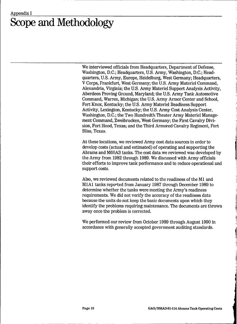## Appendix I **Scope and Methodology**

We interviewed officials from Headquarters, Department of Defense, Washington, D.C.; Headquarters, U.S. Army, Washington, D.C.; Headquarters, U.S. Army, Europe, Heidelburg, West Germany; Headquarters, V Corps, Frankfurt, West Germany; the U.S. Army Materiel Command, Alexandria, Virginia; the U.S. Army Materiel Support Analysis Activity, Aberdeen Proving Ground, Maryland; the U.S. Army Tank Automotive Command, Warren, Michigan; the U.S. Army Armor Center and School, Fort Knox, Kentucky; the U.S. Army Materiel Readiness Support Activity, Lexington, Kentucky; the U.S. Army Cost Analysis Center, Washington, D.C.; the Two Hundredth Theater Army Materiel Management Command, Zweibrucken, West Germany; the First Cavalry Division, Fort Hood, Texas; and the Third Armored Cavalry Regiment, Fort Bliss, Texas.

At these locations, we reviewed Army cost data sources in order to develop costs (actual and estimated) of operating and supporting the Abrams and M60A3 tanks. The cost data we reviewed was developed by the Army from 1982 through 1989. We discussed with Army officials their efforts to improve tank performance and to reduce operational and support costs.

Also, we reviewed documents related to the readiness of the M1 and MIA1 tanks repoted from January 1987 through December 1989 to determine whether the tanks were meeting the Army's readiness requirements. We did not verify the accuracy of the readiness data because the units do not keep the basic documents upon which they identify the problems requiring maintenance. The documents are thrown away once the problem is corrected.

We performed our review from October 1989 through August 1990 in accordance with generally accepted government auditing standards.